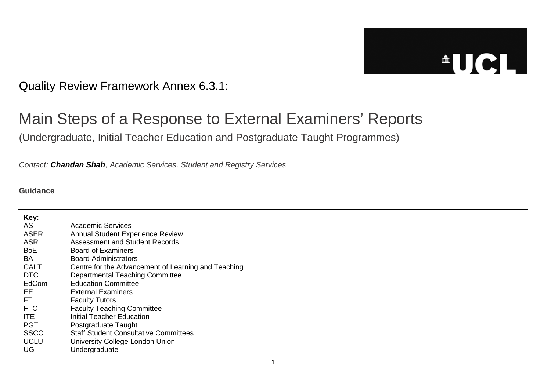## $\triangle$ UCL

Quality Review Framework Annex 6.3.1:

## Main Steps of a Response to External Examiners' Reports

(Undergraduate, Initial Teacher Education and Postgraduate Taught Programmes)

*Contact: Chandan Shah, Academic Services, Student and Registry Services*

## **Guidance**

| Key:        |                                                     |
|-------------|-----------------------------------------------------|
| AS          | Academic Services                                   |
| <b>ASER</b> | <b>Annual Student Experience Review</b>             |
| <b>ASR</b>  | Assessment and Student Records                      |
| <b>BoE</b>  | Board of Examiners                                  |
| BA.         | Board Administrators                                |
| <b>CALT</b> | Centre for the Advancement of Learning and Teaching |
| <b>DTC</b>  | <b>Departmental Teaching Committee</b>              |
| EdCom       | <b>Education Committee</b>                          |
| FF.         | <b>External Examiners</b>                           |
| FT.         | <b>Faculty Tutors</b>                               |
| <b>FTC</b>  | <b>Faculty Teaching Committee</b>                   |
| ITE.        | Initial Teacher Education                           |
| <b>PGT</b>  | Postgraduate Taught                                 |
| <b>SSCC</b> | <b>Staff Student Consultative Committees</b>        |
| <b>UCLU</b> | University College London Union                     |
| UG          | Undergraduate                                       |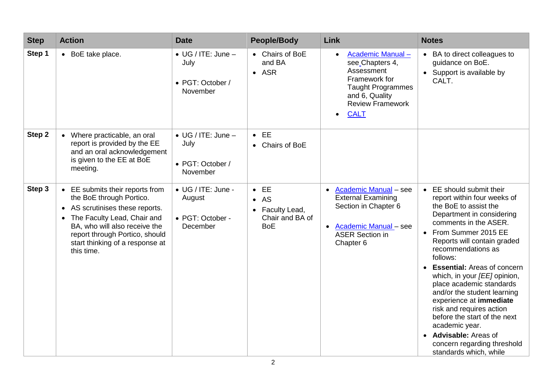| <b>Step</b> | <b>Action</b>                                                                                                                                                                                                                                       | <b>Date</b>                                                        | <b>People/Body</b>                                                               | Link                                                                                                                                                                    | <b>Notes</b>                                                                                                                                                                                                                                                                                                                                                                                                                                                                                                                                                                 |
|-------------|-----------------------------------------------------------------------------------------------------------------------------------------------------------------------------------------------------------------------------------------------------|--------------------------------------------------------------------|----------------------------------------------------------------------------------|-------------------------------------------------------------------------------------------------------------------------------------------------------------------------|------------------------------------------------------------------------------------------------------------------------------------------------------------------------------------------------------------------------------------------------------------------------------------------------------------------------------------------------------------------------------------------------------------------------------------------------------------------------------------------------------------------------------------------------------------------------------|
| Step 1      | • BoE take place.                                                                                                                                                                                                                                   | $\bullet$ UG / ITE: June -<br>July<br>• PGT: October /<br>November | • Chairs of BoE<br>and BA<br>$-$ ASR                                             | Academic Manual-<br>$\bullet$<br>see Chapters 4,<br>Assessment<br>Framework for<br><b>Taught Programmes</b><br>and 6, Quality<br><b>Review Framework</b><br><b>CALT</b> | • BA to direct colleagues to<br>guidance on BoE.<br>• Support is available by<br>CALT.                                                                                                                                                                                                                                                                                                                                                                                                                                                                                       |
| Step 2      | • Where practicable, an oral<br>report is provided by the EE<br>and an oral acknowledgement<br>is given to the EE at BoE<br>meeting.                                                                                                                | $\bullet$ UG / ITE: June -<br>July<br>• PGT: October /<br>November | $\bullet$ EE<br>• Chairs of BoE                                                  |                                                                                                                                                                         |                                                                                                                                                                                                                                                                                                                                                                                                                                                                                                                                                                              |
| Step 3      | • EE submits their reports from<br>the BoE through Portico.<br>• AS scrutinises these reports.<br>• The Faculty Lead, Chair and<br>BA, who will also receive the<br>report through Portico, should<br>start thinking of a response at<br>this time. | • UG / ITE: June -<br>August<br>• PGT: October -<br>December       | $\bullet$ EE<br>$\bullet$ AS<br>• Faculty Lead,<br>Chair and BA of<br><b>BoE</b> | • Academic Manual - see<br><b>External Examining</b><br>Section in Chapter 6<br>• Academic Manual - see<br><b>ASER Section in</b><br>Chapter 6                          | • EE should submit their<br>report within four weeks of<br>the BoE to assist the<br>Department in considering<br>comments in the ASER.<br>From Summer 2015 EE<br>$\bullet$<br>Reports will contain graded<br>recommendations as<br>follows:<br><b>Essential: Areas of concern</b><br>which, in your [EE] opinion,<br>place academic standards<br>and/or the student learning<br>experience at immediate<br>risk and requires action<br>before the start of the next<br>academic year.<br><b>Advisable:</b> Areas of<br>concern regarding threshold<br>standards which, while |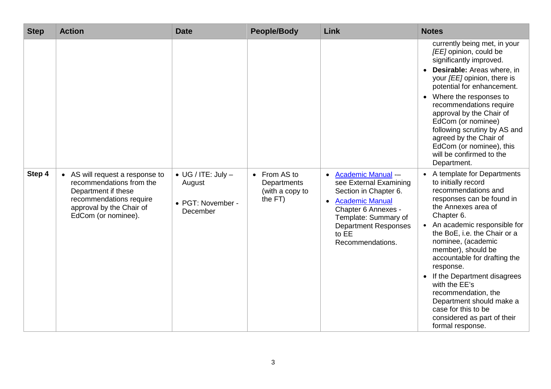| <b>Step</b> | <b>Action</b>                                                                                                                                                    | <b>Date</b>                                                             | <b>People/Body</b>                                        | Link                                                                                                                                                                                                                      | <b>Notes</b>                                                                                                                                                                                                                                                                                                                                                                                                                                                                                 |
|-------------|------------------------------------------------------------------------------------------------------------------------------------------------------------------|-------------------------------------------------------------------------|-----------------------------------------------------------|---------------------------------------------------------------------------------------------------------------------------------------------------------------------------------------------------------------------------|----------------------------------------------------------------------------------------------------------------------------------------------------------------------------------------------------------------------------------------------------------------------------------------------------------------------------------------------------------------------------------------------------------------------------------------------------------------------------------------------|
|             |                                                                                                                                                                  |                                                                         |                                                           |                                                                                                                                                                                                                           | currently being met, in your<br>[EE] opinion, could be<br>significantly improved.<br><b>Desirable:</b> Areas where, in<br>your [EE] opinion, there is<br>potential for enhancement.<br>Where the responses to<br>recommendations require<br>approval by the Chair of<br>EdCom (or nominee)<br>following scrutiny by AS and<br>agreed by the Chair of<br>EdCom (or nominee), this<br>will be confirmed to the<br>Department.                                                                  |
| Step 4      | • AS will request a response to<br>recommendations from the<br>Department if these<br>recommendations require<br>approval by the Chair of<br>EdCom (or nominee). | $\bullet$ UG / ITE: July $-$<br>August<br>• PGT: November -<br>December | • From AS to<br>Departments<br>(with a copy to<br>the FT) | • Academic Manual --<br>see External Examining<br>Section in Chapter 6.<br><b>Academic Manual</b><br>$\bullet$<br>Chapter 6 Annexes -<br>Template: Summary of<br><b>Department Responses</b><br>to EE<br>Recommendations. | A template for Departments<br>to initially record<br>recommendations and<br>responses can be found in<br>the Annexes area of<br>Chapter 6.<br>An academic responsible for<br>the BoE, i.e. the Chair or a<br>nominee, (academic<br>member), should be<br>accountable for drafting the<br>response.<br>If the Department disagrees<br>$\bullet$<br>with the EE's<br>recommendation, the<br>Department should make a<br>case for this to be<br>considered as part of their<br>formal response. |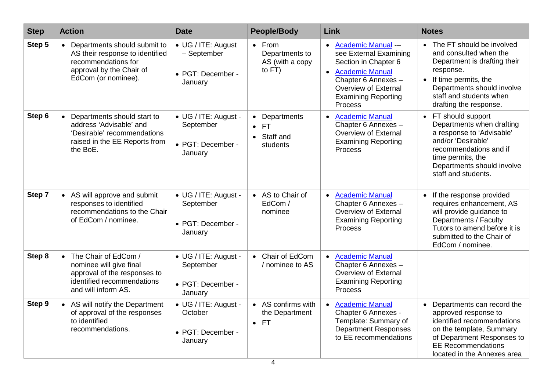| <b>Step</b> | <b>Action</b>                                                                                                                               | <b>Date</b>                                                       | <b>People/Body</b>                                                          | Link                                                                                                                                                                                | <b>Notes</b>                                                                                                                                                                                                    |
|-------------|---------------------------------------------------------------------------------------------------------------------------------------------|-------------------------------------------------------------------|-----------------------------------------------------------------------------|-------------------------------------------------------------------------------------------------------------------------------------------------------------------------------------|-----------------------------------------------------------------------------------------------------------------------------------------------------------------------------------------------------------------|
| Step 5      | • Departments should submit to<br>AS their response to identified<br>recommendations for<br>approval by the Chair of<br>EdCom (or nominee). | • UG / ITE: August<br>- September<br>• PGT: December -<br>January | $\bullet$ From<br>Departments to<br>AS (with a copy<br>to FT)               | • Academic Manual --<br>see External Examining<br>Section in Chapter 6<br>• Academic Manual<br>Chapter 6 Annexes -<br>Overview of External<br><b>Examining Reporting</b><br>Process | • The FT should be involved<br>and consulted when the<br>Department is drafting their<br>response.<br>• If time permits, the<br>Departments should involve<br>staff and students when<br>drafting the response. |
| Step 6      | • Departments should start to<br>address 'Advisable' and<br>'Desirable' recommendations<br>raised in the EE Reports from<br>the BoE.        | • UG / ITE: August -<br>September<br>• PGT: December -<br>January | Departments<br>$\bullet$<br><b>FT</b><br>Staff and<br>$\bullet$<br>students | • Academic Manual<br>Chapter 6 Annexes -<br>Overview of External<br><b>Examining Reporting</b><br>Process                                                                           | • FT should support<br>Departments when drafting<br>a response to 'Advisable'<br>and/or 'Desirable'<br>recommendations and if<br>time permits, the<br>Departments should involve<br>staff and students.         |
| Step 7      | • AS will approve and submit<br>responses to identified<br>recommendations to the Chair<br>of EdCom / nominee.                              | • UG / ITE: August -<br>September<br>• PGT: December -<br>January | • AS to Chair of<br>EdCom /<br>nominee                                      | • Academic Manual<br>Chapter 6 Annexes -<br>Overview of External<br><b>Examining Reporting</b><br>Process                                                                           | If the response provided<br>$\bullet$<br>requires enhancement, AS<br>will provide guidance to<br>Departments / Faculty<br>Tutors to amend before it is<br>submitted to the Chair of<br>EdCom / nominee.         |
| Step 8      | • The Chair of EdCom /<br>nominee will give final<br>approval of the responses to<br>identified recommendations<br>and will inform AS.      | • UG / ITE: August -<br>September<br>• PGT: December -<br>January | • Chair of EdCom<br>/ nominee to AS                                         | • Academic Manual<br>Chapter 6 Annexes -<br>Overview of External<br><b>Examining Reporting</b><br>Process                                                                           |                                                                                                                                                                                                                 |
| Step 9      | • AS will notify the Department<br>of approval of the responses<br>to identified<br>recommendations.                                        | • UG / ITE: August -<br>October<br>• PGT: December -<br>January   | • AS confirms with<br>the Department<br><b>FT</b><br>$\bullet$              | • Academic Manual<br>Chapter 6 Annexes -<br>Template: Summary of<br><b>Department Responses</b><br>to EE recommendations                                                            | • Departments can record the<br>approved response to<br>identified recommendations<br>on the template, Summary<br>of Department Responses to<br><b>EE Recommendations</b><br>located in the Annexes area        |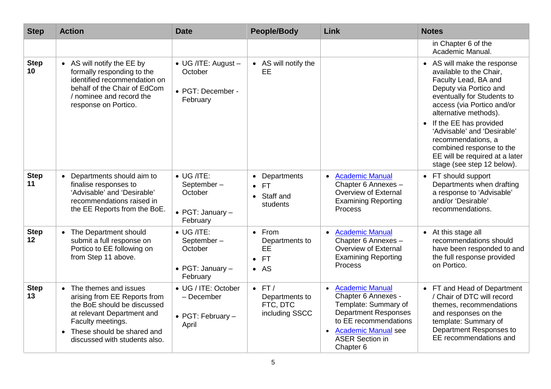| <b>Step</b>                    | <b>Action</b>                                                                                                                                                                                                         | <b>Date</b>                                                                         | <b>People/Body</b>                                                            | Link                                                                                                                                                                                                                         | <b>Notes</b>                                                                                                                                                                                                                                                                                                                                                               |
|--------------------------------|-----------------------------------------------------------------------------------------------------------------------------------------------------------------------------------------------------------------------|-------------------------------------------------------------------------------------|-------------------------------------------------------------------------------|------------------------------------------------------------------------------------------------------------------------------------------------------------------------------------------------------------------------------|----------------------------------------------------------------------------------------------------------------------------------------------------------------------------------------------------------------------------------------------------------------------------------------------------------------------------------------------------------------------------|
|                                |                                                                                                                                                                                                                       |                                                                                     |                                                                               |                                                                                                                                                                                                                              | in Chapter 6 of the<br>Academic Manual.                                                                                                                                                                                                                                                                                                                                    |
| <b>Step</b><br>10 <sup>°</sup> | • AS will notify the EE by<br>formally responding to the<br>identified recommendation on<br>behalf of the Chair of EdCom<br>/ nominee and record the<br>response on Portico.                                          | • UG /ITE: August -<br>October<br>• PGT: December -<br>February                     | • AS will notify the<br>EE                                                    |                                                                                                                                                                                                                              | • AS will make the response<br>available to the Chair,<br>Faculty Lead, BA and<br>Deputy via Portico and<br>eventually for Students to<br>access (via Portico and/or<br>alternative methods).<br>• If the EE has provided<br>'Advisable' and 'Desirable'<br>recommendations, a<br>combined response to the<br>EE will be required at a later<br>stage (see step 12 below). |
| <b>Step</b><br>11              | Departments should aim to<br>finalise responses to<br>'Advisable' and 'Desirable'<br>recommendations raised in<br>the EE Reports from the BoE.                                                                        | $\bullet$ UG /ITE:<br>September-<br>October<br>$\bullet$ PGT: January -<br>February | • Departments<br>$\bullet$ FT<br>• Staff and<br>students                      | • Academic Manual<br>Chapter 6 Annexes -<br>Overview of External<br><b>Examining Reporting</b><br>Process                                                                                                                    | • FT should support<br>Departments when drafting<br>a response to 'Advisable'<br>and/or 'Desirable'<br>recommendations.                                                                                                                                                                                                                                                    |
| <b>Step</b><br>12              | • The Department should<br>submit a full response on<br>Portico to EE following on<br>from Step 11 above.                                                                                                             | $\bullet$ UG /ITE:<br>September-<br>October<br>• PGT: January -<br>February         | $\bullet$ From<br>Departments to<br><b>EE</b><br>$\bullet$ FT<br>$\bullet$ AS | • Academic Manual<br>Chapter 6 Annexes -<br>Overview of External<br><b>Examining Reporting</b><br>Process                                                                                                                    | • At this stage all<br>recommendations should<br>have been responded to and<br>the full response provided<br>on Portico.                                                                                                                                                                                                                                                   |
| <b>Step</b><br>13              | • The themes and issues<br>arising from EE Reports from<br>the BoE should be discussed<br>at relevant Department and<br>Faculty meetings.<br>These should be shared and<br>$\bullet$<br>discussed with students also. | • UG / ITE: October<br>- December<br>• PGT: February -<br>April                     | $\bullet$ FT/<br>Departments to<br>FTC, DTC<br>including SSCC                 | <b>Academic Manual</b><br>$\bullet$<br>Chapter 6 Annexes -<br>Template: Summary of<br><b>Department Responses</b><br>to EE recommendations<br><b>Academic Manual see</b><br>$\bullet$<br><b>ASER Section in</b><br>Chapter 6 | • FT and Head of Department<br>/ Chair of DTC will record<br>themes, recommendations<br>and responses on the<br>template: Summary of<br>Department Responses to<br>EE recommendations and                                                                                                                                                                                  |